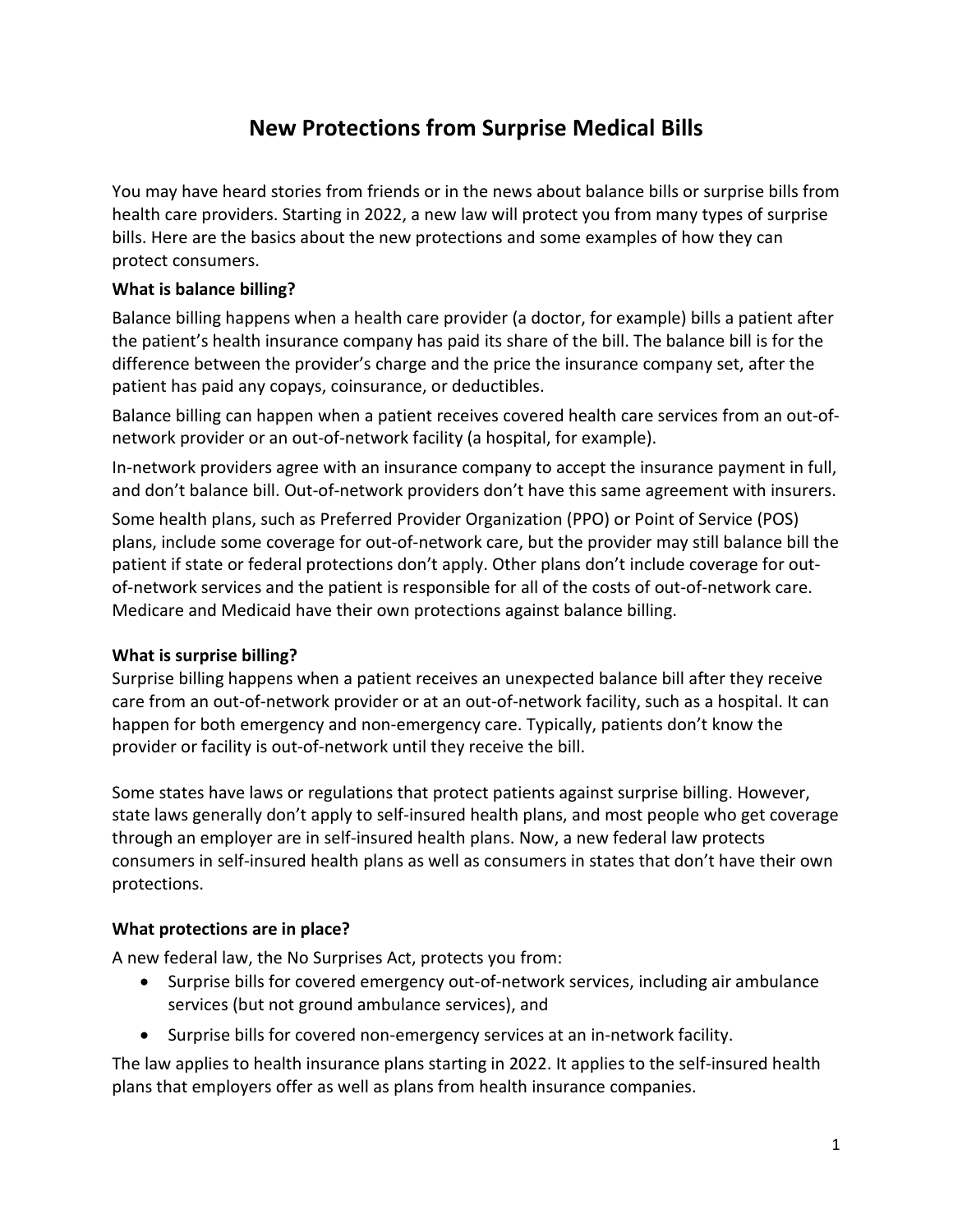# **New Protections from Surprise Medical Bills**

You may have heard stories from friends or in the news about balance bills or surprise bills from health care providers. Starting in 2022, a new law will protect you from many types of surprise bills. Here are the basics about the new protections and some examples of how they can protect consumers.

### **What is balance billing?**

Balance billing happens when a health care provider (a doctor, for example) bills a patient after the patient's health insurance company has paid its share of the bill. The balance bill is for the difference between the provider's charge and the price the insurance company set, after the patient has paid any copays, coinsurance, or deductibles.

Balance billing can happen when a patient receives covered health care services from an out-ofnetwork provider or an out-of-network facility (a hospital, for example).

In-network providers agree with an insurance company to accept the insurance payment in full, and don't balance bill. Out-of-network providers don't have this same agreement with insurers.

Some health plans, such as Preferred Provider Organization (PPO) or Point of Service (POS) plans, include some coverage for out-of-network care, but the provider may still balance bill the patient if state or federal protections don't apply. Other plans don't include coverage for outof-network services and the patient is responsible for all of the costs of out-of-network care. Medicare and Medicaid have their own protections against balance billing.

#### **What is surprise billing?**

Surprise billing happens when a patient receives an unexpected balance bill after they receive care from an out-of-network provider or at an out-of-network facility, such as a hospital. It can happen for both emergency and non-emergency care. Typically, patients don't know the provider or facility is out-of-network until they receive the bill.

Some states have laws or regulations that protect patients against surprise billing. However, state laws generally don't apply to self-insured health plans, and most people who get coverage through an employer are in self-insured health plans. Now, a new federal law protects consumers in self-insured health plans as well as consumers in states that don't have their own protections.

#### **What protections are in place?**

A new federal law, the No Surprises Act, protects you from:

- Surprise bills for covered emergency out-of-network services, including air ambulance services (but not ground ambulance services), and
- Surprise bills for covered non-emergency services at an in-network facility.

The law applies to health insurance plans starting in 2022. It applies to the self-insured health plans that employers offer as well as plans from health insurance companies.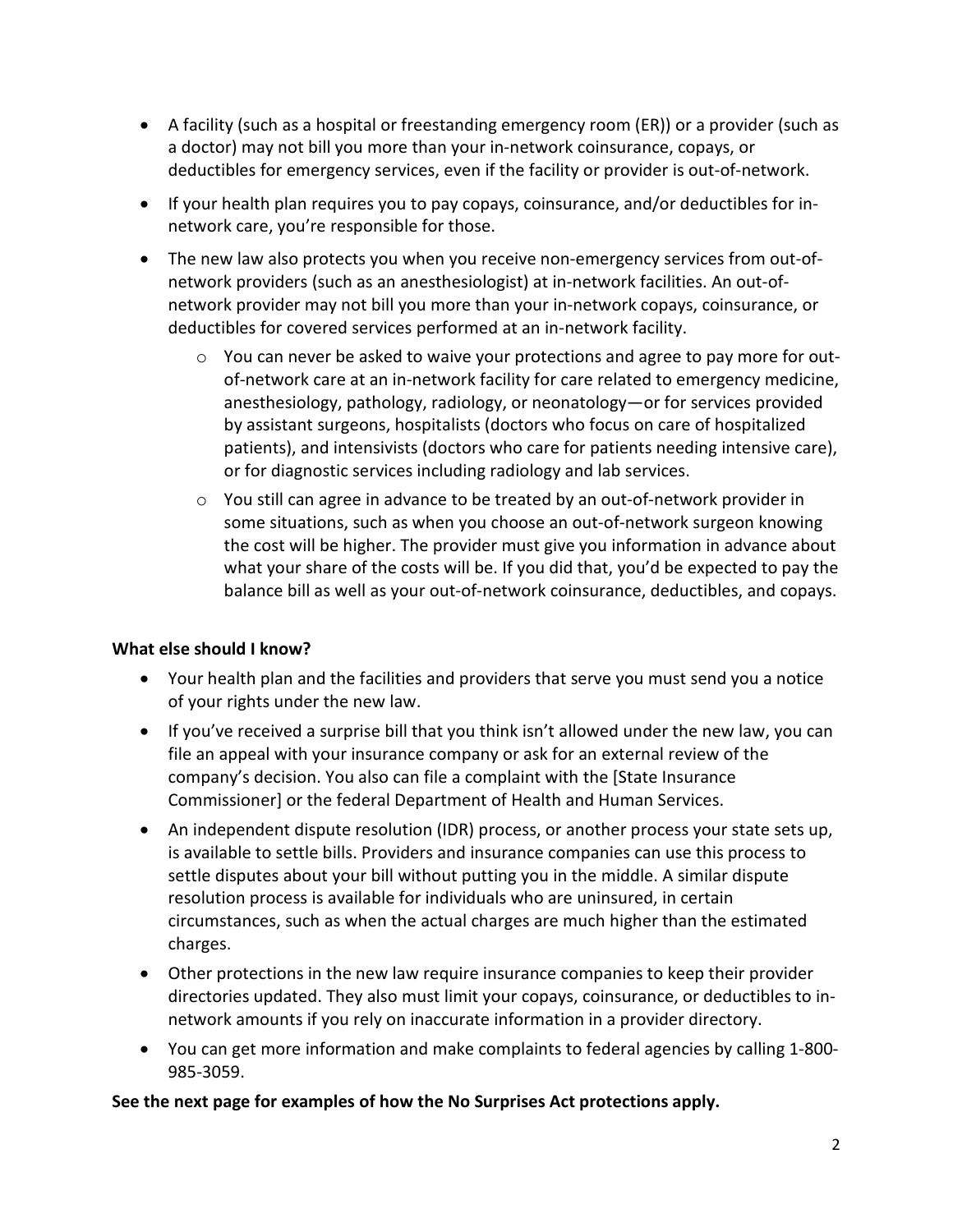- A facility (such as a hospital or freestanding emergency room (ER)) or a provider (such as a doctor) may not bill you more than your in-network coinsurance, copays, or deductibles for emergency services, even if the facility or provider is out-of-network.
- If your health plan requires you to pay copays, coinsurance, and/or deductibles for innetwork care, you're responsible for those.
- The new law also protects you when you receive non-emergency services from out-ofnetwork providers (such as an anesthesiologist) at in-network facilities. An out-ofnetwork provider may not bill you more than your in-network copays, coinsurance, or deductibles for covered services performed at an in-network facility.
	- $\circ$  You can never be asked to waive your protections and agree to pay more for outof-network care at an in-network facility for care related to emergency medicine, anesthesiology, pathology, radiology, or neonatology—or for services provided by assistant surgeons, hospitalists (doctors who focus on care of hospitalized patients), and intensivists (doctors who care for patients needing intensive care), or for diagnostic services including radiology and lab services.
	- $\circ$  You still can agree in advance to be treated by an out-of-network provider in some situations, such as when you choose an out-of-network surgeon knowing the cost will be higher. The provider must give you information in advance about what your share of the costs will be. If you did that, you'd be expected to pay the balance bill as well as your out-of-network coinsurance, deductibles, and copays.

#### **What else should I know?**

- Your health plan and the facilities and providers that serve you must send you a notice of your rights under the new law.
- If you've received a surprise bill that you think isn't allowed under the new law, you can file an appeal with your insurance company or ask for an external review of the company's decision. You also can file a complaint with the [State Insurance Commissioner] or the federal Department of Health and Human Services.
- An independent dispute resolution (IDR) process, or another process your state sets up, is available to settle bills. Providers and insurance companies can use this process to settle disputes about your bill without putting you in the middle. A similar dispute resolution process is available for individuals who are uninsured, in certain circumstances, such as when the actual charges are much higher than the estimated charges.
- Other protections in the new law require insurance companies to keep their provider directories updated. They also must limit your copays, coinsurance, or deductibles to innetwork amounts if you rely on inaccurate information in a provider directory.
- You can get more information and make complaints to federal agencies by calling 1-800- 985-3059.

#### **See the next page for examples of how the No Surprises Act protections apply.**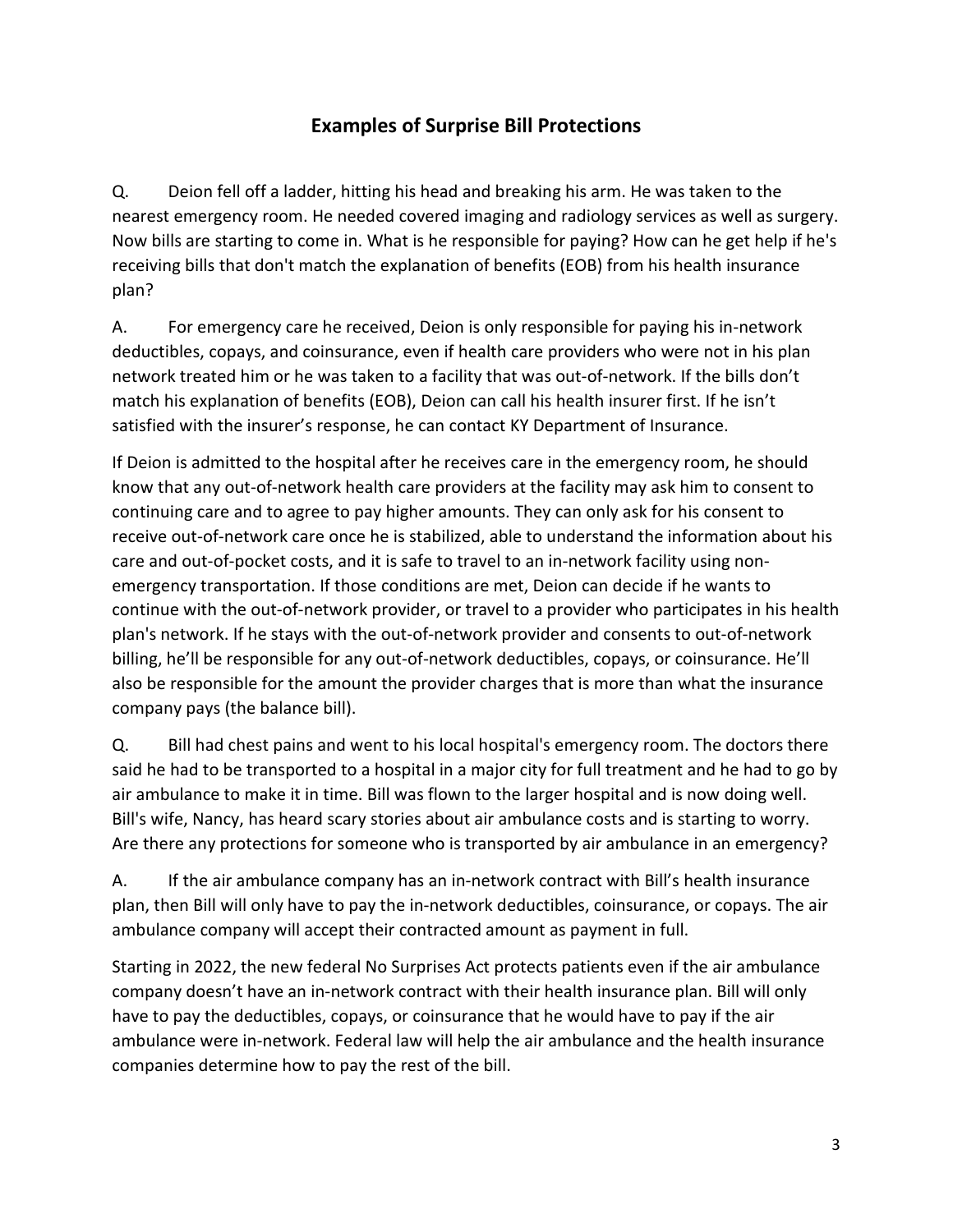## **Examples of Surprise Bill Protections**

Q. Deion fell off a ladder, hitting his head and breaking his arm. He was taken to the nearest emergency room. He needed covered imaging and radiology services as well as surgery. Now bills are starting to come in. What is he responsible for paying? How can he get help if he's receiving bills that don't match the explanation of benefits (EOB) from his health insurance plan?

A. For emergency care he received, Deion is only responsible for paying his in-network deductibles, copays, and coinsurance, even if health care providers who were not in his plan network treated him or he was taken to a facility that was out-of-network. If the bills don't match his explanation of benefits (EOB), Deion can call his health insurer first. If he isn't satisfied with the insurer's response, he can contact KY Department of Insurance.

If Deion is admitted to the hospital after he receives care in the emergency room, he should know that any out-of-network health care providers at the facility may ask him to consent to continuing care and to agree to pay higher amounts. They can only ask for his consent to receive out-of-network care once he is stabilized, able to understand the information about his care and out-of-pocket costs, and it is safe to travel to an in-network facility using nonemergency transportation. If those conditions are met, Deion can decide if he wants to continue with the out-of-network provider, or travel to a provider who participates in his health plan's network. If he stays with the out-of-network provider and consents to out-of-network billing, he'll be responsible for any out-of-network deductibles, copays, or coinsurance. He'll also be responsible for the amount the provider charges that is more than what the insurance company pays (the balance bill).

Q. Bill had chest pains and went to his local hospital's emergency room. The doctors there said he had to be transported to a hospital in a major city for full treatment and he had to go by air ambulance to make it in time. Bill was flown to the larger hospital and is now doing well. Bill's wife, Nancy, has heard scary stories about air ambulance costs and is starting to worry. Are there any protections for someone who is transported by air ambulance in an emergency?

A. If the air ambulance company has an in-network contract with Bill's health insurance plan, then Bill will only have to pay the in-network deductibles, coinsurance, or copays. The air ambulance company will accept their contracted amount as payment in full.

Starting in 2022, the new federal No Surprises Act protects patients even if the air ambulance company doesn't have an in-network contract with their health insurance plan. Bill will only have to pay the deductibles, copays, or coinsurance that he would have to pay if the air ambulance were in-network. Federal law will help the air ambulance and the health insurance companies determine how to pay the rest of the bill.